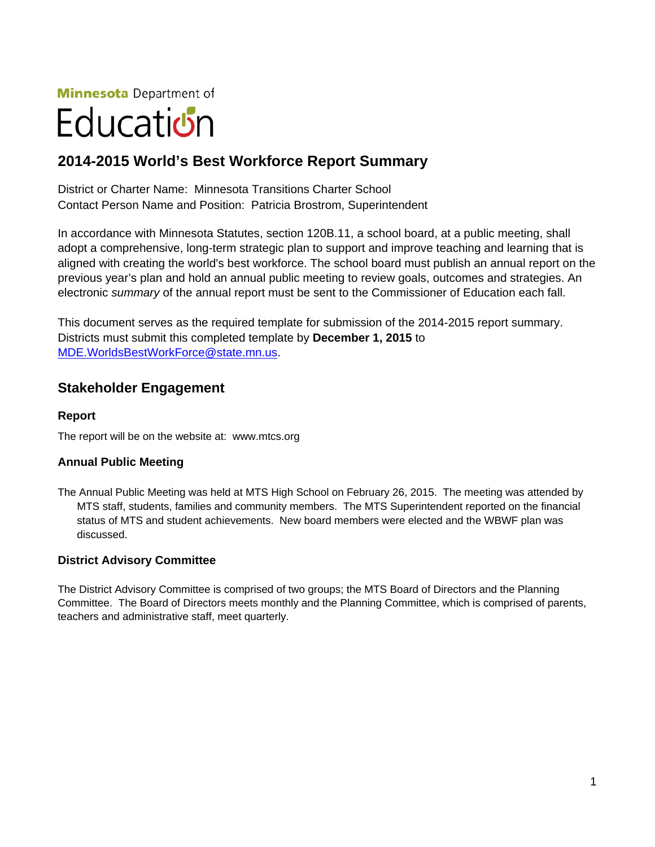**Minnesota** Department of

# Education

# **2014-2015 World's Best Workforce Report Summary**

District or Charter Name: Minnesota Transitions Charter School Contact Person Name and Position: Patricia Brostrom, Superintendent

In accordance with Minnesota Statutes, section 120B.11, a school board, at a public meeting, shall adopt a comprehensive, long-term strategic plan to support and improve teaching and learning that is aligned with creating the world's best workforce. The school board must publish an annual report on the previous year's plan and hold an annual public meeting to review goals, outcomes and strategies. An electronic *summary* of the annual report must be sent to the Commissioner of Education each fall.

This document serves as the required template for submission of the 2014-2015 report summary. Districts must submit this completed template by **December 1, 2015** to [MDE.WorldsBestWorkForce@state.mn.us.](mailto:MDE.WorldsBestWorkForce@state.mn.us)

### **Stakeholder Engagement**

#### **Report**

The report will be on the website at: www.mtcs.org

#### **Annual Public Meeting**

The Annual Public Meeting was held at MTS High School on February 26, 2015. The meeting was attended by MTS staff, students, families and community members. The MTS Superintendent reported on the financial status of MTS and student achievements. New board members were elected and the WBWF plan was discussed.

#### **District Advisory Committee**

The District Advisory Committee is comprised of two groups; the MTS Board of Directors and the Planning Committee. The Board of Directors meets monthly and the Planning Committee, which is comprised of parents, teachers and administrative staff, meet quarterly.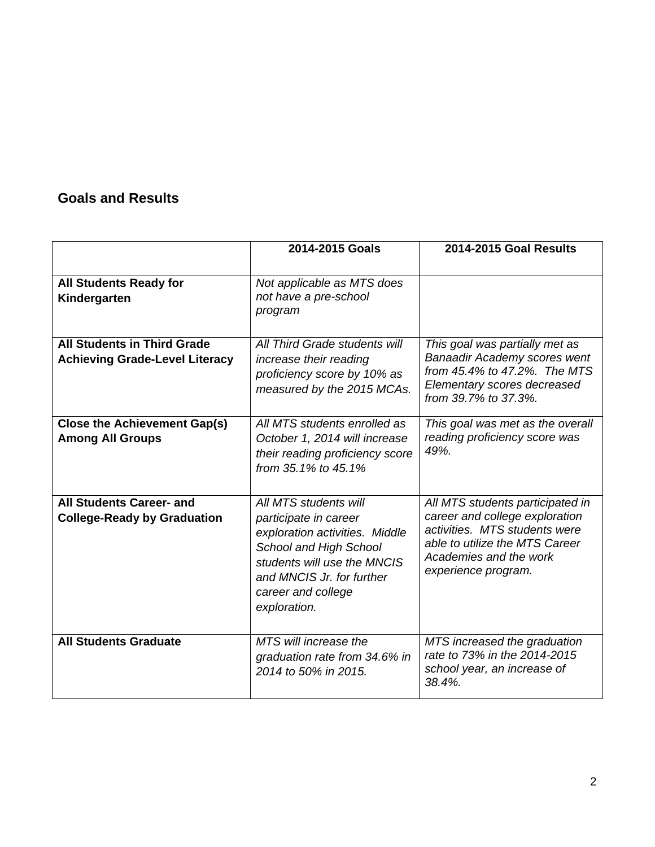# **Goals and Results**

|                                                                             | 2014-2015 Goals                                                                                                                                                                                              | <b>2014-2015 Goal Results</b>                                                                                                                                                          |
|-----------------------------------------------------------------------------|--------------------------------------------------------------------------------------------------------------------------------------------------------------------------------------------------------------|----------------------------------------------------------------------------------------------------------------------------------------------------------------------------------------|
| <b>All Students Ready for</b><br>Kindergarten                               | Not applicable as MTS does<br>not have a pre-school<br>program                                                                                                                                               |                                                                                                                                                                                        |
| <b>All Students in Third Grade</b><br><b>Achieving Grade-Level Literacy</b> | All Third Grade students will<br>increase their reading<br>proficiency score by 10% as<br>measured by the 2015 MCAs.                                                                                         | This goal was partially met as<br><b>Banaadir Academy scores went</b><br>from 45.4% to 47.2%. The MTS<br>Elementary scores decreased<br>from 39.7% to 37.3%.                           |
| <b>Close the Achievement Gap(s)</b><br><b>Among All Groups</b>              | All MTS students enrolled as<br>October 1, 2014 will increase<br>their reading proficiency score<br>from 35.1% to 45.1%                                                                                      | This goal was met as the overall<br>reading proficiency score was<br>49%.                                                                                                              |
| <b>All Students Career- and</b><br><b>College-Ready by Graduation</b>       | All MTS students will<br>participate in career<br>exploration activities. Middle<br>School and High School<br>students will use the MNCIS<br>and MNCIS Jr. for further<br>career and college<br>exploration. | All MTS students participated in<br>career and college exploration<br>activities. MTS students were<br>able to utilize the MTS Career<br>Academies and the work<br>experience program. |
| <b>All Students Graduate</b>                                                | MTS will increase the<br>graduation rate from 34.6% in<br>2014 to 50% in 2015.                                                                                                                               | MTS increased the graduation<br>rate to 73% in the 2014-2015<br>school year, an increase of<br>38.4%.                                                                                  |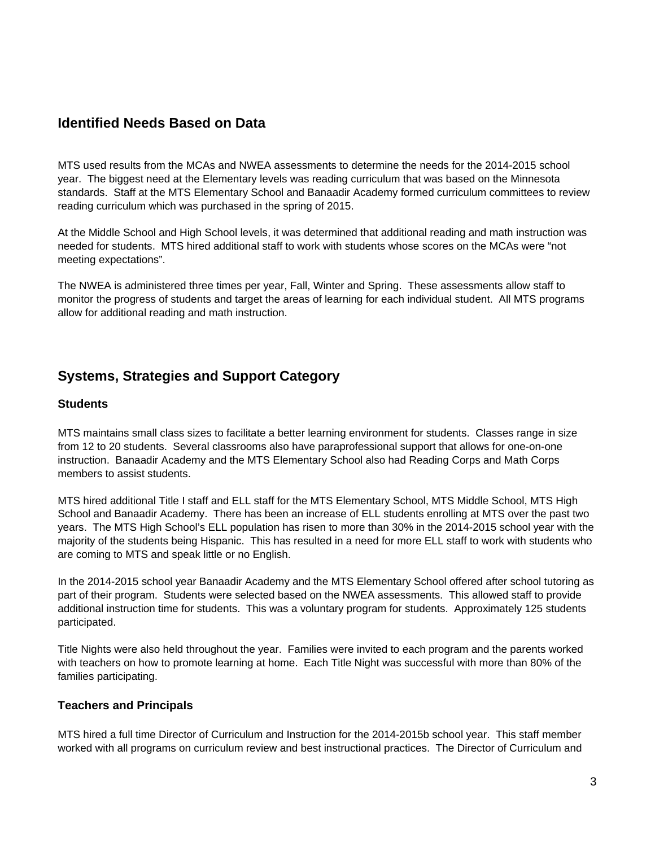# **Identified Needs Based on Data**

MTS used results from the MCAs and NWEA assessments to determine the needs for the 2014-2015 school year. The biggest need at the Elementary levels was reading curriculum that was based on the Minnesota standards. Staff at the MTS Elementary School and Banaadir Academy formed curriculum committees to review reading curriculum which was purchased in the spring of 2015.

At the Middle School and High School levels, it was determined that additional reading and math instruction was needed for students. MTS hired additional staff to work with students whose scores on the MCAs were "not meeting expectations".

The NWEA is administered three times per year, Fall, Winter and Spring. These assessments allow staff to monitor the progress of students and target the areas of learning for each individual student. All MTS programs allow for additional reading and math instruction.

## **Systems, Strategies and Support Category**

#### **Students**

MTS maintains small class sizes to facilitate a better learning environment for students. Classes range in size from 12 to 20 students. Several classrooms also have paraprofessional support that allows for one-on-one instruction. Banaadir Academy and the MTS Elementary School also had Reading Corps and Math Corps members to assist students.

MTS hired additional Title I staff and ELL staff for the MTS Elementary School, MTS Middle School, MTS High School and Banaadir Academy. There has been an increase of ELL students enrolling at MTS over the past two years. The MTS High School's ELL population has risen to more than 30% in the 2014-2015 school year with the majority of the students being Hispanic. This has resulted in a need for more ELL staff to work with students who are coming to MTS and speak little or no English.

In the 2014-2015 school year Banaadir Academy and the MTS Elementary School offered after school tutoring as part of their program. Students were selected based on the NWEA assessments. This allowed staff to provide additional instruction time for students. This was a voluntary program for students. Approximately 125 students participated.

Title Nights were also held throughout the year. Families were invited to each program and the parents worked with teachers on how to promote learning at home. Each Title Night was successful with more than 80% of the families participating.

#### **Teachers and Principals**

MTS hired a full time Director of Curriculum and Instruction for the 2014-2015b school year. This staff member worked with all programs on curriculum review and best instructional practices. The Director of Curriculum and